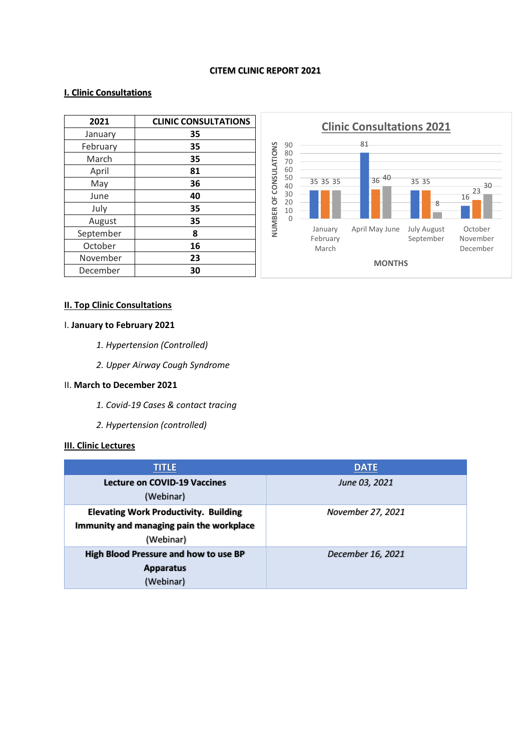#### **CITEM CLINIC REPORT 2021**

### **I. Clinic Consultations**

| 2021      | <b>CLINIC CONSULTATIONS</b> | <b>Clinic Consultations 2021</b>                        |                                                        |
|-----------|-----------------------------|---------------------------------------------------------|--------------------------------------------------------|
| January   | 35                          |                                                         |                                                        |
| February  | 35                          | 81<br>90                                                |                                                        |
| March     | 35                          | <b>ATIONS</b><br>80<br>70                               |                                                        |
| April     | 81                          | 60                                                      |                                                        |
| May       | 36                          | <b>CONSUL</b><br>50<br>$\sqrt{36}$ 40<br>35 35 35<br>40 | 35 35<br>30                                            |
| June      | 40                          | 30<br>ŏ<br>20                                           | 23<br>16                                               |
| July      | 35                          | 10                                                      | 8                                                      |
| August    | 35                          | NUMBER<br>$\mathbf{0}$                                  |                                                        |
| September | 8                           | April May June<br>January<br>February                   | <b>July August</b><br>October<br>September<br>November |
| October   | 16                          | March                                                   | December                                               |
| November  | 23                          | <b>MONTHS</b>                                           |                                                        |
| December  | 30                          |                                                         |                                                        |

### **II. Top Clinic Consultations**

### I. **January to February 2021**

- *1. Hypertension (Controlled)*
- *2. Upper Airway Cough Syndrome*

## II. **March to December 2021**

- *1. Covid-19 Cases & contact tracing*
- *2. Hypertension (controlled)*

### **III. Clinic Lectures**

| <b>TITLE</b>                                                                                          | <b>DATE</b>       |
|-------------------------------------------------------------------------------------------------------|-------------------|
| <b>Lecture on COVID-19 Vaccines</b><br>(Webinar)                                                      | June 03, 2021     |
| <b>Elevating Work Productivity. Building</b><br>Immunity and managing pain the workplace<br>(Webinar) | November 27, 2021 |
| High Blood Pressure and how to use BP<br><b>Apparatus</b><br>(Webinar)                                | December 16, 2021 |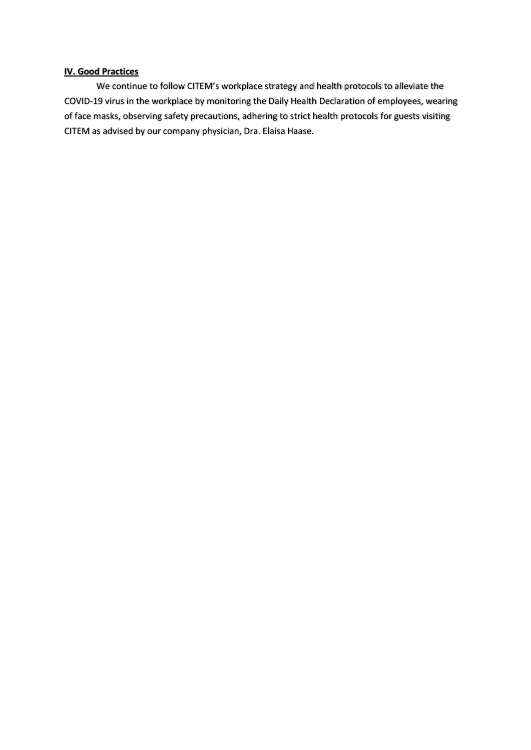# **IV. Good Practices**

We continue to follow CITEM's workplace strategy and health protocols to alleviate the COVID-19 virus in the workplace by monitoring the Daily Health Declaration of employees, wearing of face masks, observing safety precautions, adhering to strict health protocols for guests visiting CITEM as advised by our company physician, Dra. Elaisa Haase.